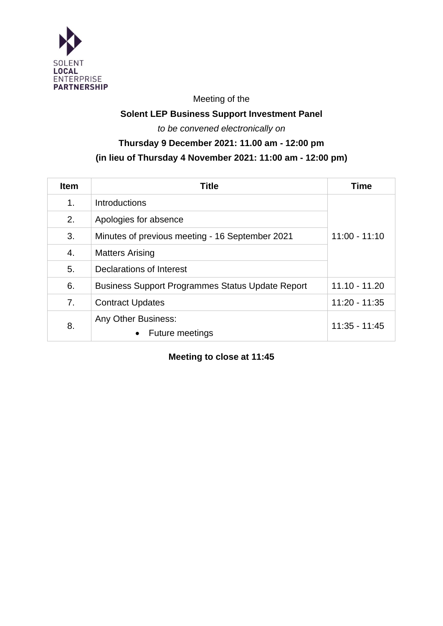

Meeting of the

## **Solent LEP Business Support Investment Panel**

*to be convened electronically on*

# **Thursday 9 December 2021: 11.00 am - 12:00 pm (in lieu of Thursday 4 November 2021: 11:00 am - 12:00 pm)**

| <b>Item</b>    | <b>Title</b>                                               | <b>Time</b>     |
|----------------|------------------------------------------------------------|-----------------|
| 1 <sub>1</sub> | Introductions                                              |                 |
| 2.             | Apologies for absence                                      |                 |
| 3.             | Minutes of previous meeting - 16 September 2021            | $11:00 - 11:10$ |
| 4.             | <b>Matters Arising</b>                                     |                 |
| 5.             | Declarations of Interest                                   |                 |
| 6.             | <b>Business Support Programmes Status Update Report</b>    | $11.10 - 11.20$ |
| 7.             | <b>Contract Updates</b>                                    | $11:20 - 11:35$ |
| 8.             | Any Other Business:<br><b>Future meetings</b><br>$\bullet$ | $11:35 - 11:45$ |

**Meeting to close at 11:45**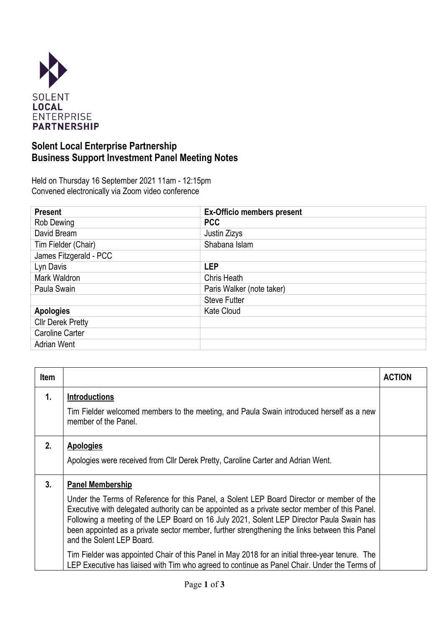

## **Solent Local Enterprise Partnership Business Support Investment Panel Meeting Notes**

Held on Thursday 16 September 2021 11am - 12:15pm Convened electronically via Zoom video conference

| <b>Present</b>           | <b>Ex-Officio members present</b> |  |
|--------------------------|-----------------------------------|--|
| Rob Dewing               | <b>PCC</b>                        |  |
| David Bream              | Justin Zizys                      |  |
| Tim Fielder (Chair)      | Shabana Islam                     |  |
| James Fitzgerald - PCC   |                                   |  |
| Lyn Davis                | <b>LEP</b>                        |  |
| Mark Waldron             | Chris Heath                       |  |
| Paula Swain              | Paris Walker (note taker)         |  |
|                          | <b>Steve Futter</b>               |  |
| <b>Apologies</b>         | <b>Kate Cloud</b>                 |  |
| <b>Cllr Derek Pretty</b> |                                   |  |
| Caroline Carter          |                                   |  |
| <b>Adrian Went</b>       |                                   |  |

| <b>Item</b> |                                                                                                                                                                                                                                                                                                                                                                                                                                                  | <b>ACTION</b> |
|-------------|--------------------------------------------------------------------------------------------------------------------------------------------------------------------------------------------------------------------------------------------------------------------------------------------------------------------------------------------------------------------------------------------------------------------------------------------------|---------------|
| 1.          | <b>Introductions</b><br>Tim Fielder welcomed members to the meeting, and Paula Swain introduced herself as a new<br>member of the Panel.                                                                                                                                                                                                                                                                                                         |               |
| 2.          | <b>Apologies</b><br>Apologies were received from Cllr Derek Pretty, Caroline Carter and Adrian Went.                                                                                                                                                                                                                                                                                                                                             |               |
| 3.          | <b>Panel Membership</b><br>Under the Terms of Reference for this Panel, a Solent LEP Board Director or member of the<br>Executive with delegated authority can be appointed as a private sector member of this Panel.<br>Following a meeting of the LEP Board on 16 July 2021, Solent LEP Director Paula Swain has<br>been appointed as a private sector member, further strengthening the links between this Panel<br>and the Solent LEP Board. |               |
|             | Tim Fielder was appointed Chair of this Panel in May 2018 for an initial three-year tenure. The<br>LEP Executive has liaised with Tim who agreed to continue as Panel Chair. Under the Terms of                                                                                                                                                                                                                                                  |               |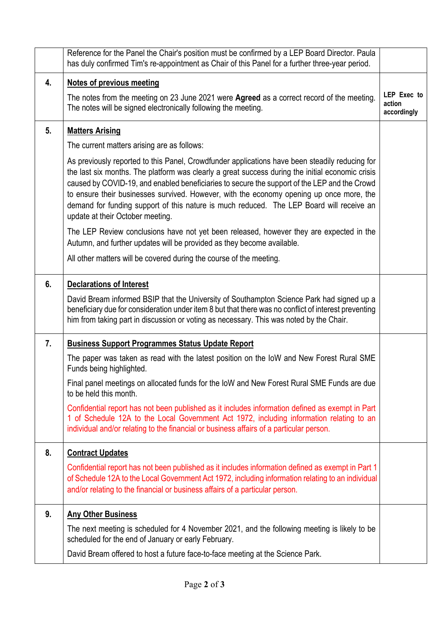|    | Reference for the Panel the Chair's position must be confirmed by a LEP Board Director. Paula<br>has duly confirmed Tim's re-appointment as Chair of this Panel for a further three-year period.                                                                                                                                                                                                                                                                                                                               |                                      |  |
|----|--------------------------------------------------------------------------------------------------------------------------------------------------------------------------------------------------------------------------------------------------------------------------------------------------------------------------------------------------------------------------------------------------------------------------------------------------------------------------------------------------------------------------------|--------------------------------------|--|
| 4. | <b>Notes of previous meeting</b>                                                                                                                                                                                                                                                                                                                                                                                                                                                                                               |                                      |  |
|    | The notes from the meeting on 23 June 2021 were Agreed as a correct record of the meeting.<br>The notes will be signed electronically following the meeting.                                                                                                                                                                                                                                                                                                                                                                   | LEP Exec to<br>action<br>accordingly |  |
| 5. | <b>Matters Arising</b>                                                                                                                                                                                                                                                                                                                                                                                                                                                                                                         |                                      |  |
|    | The current matters arising are as follows:                                                                                                                                                                                                                                                                                                                                                                                                                                                                                    |                                      |  |
|    | As previously reported to this Panel, Crowdfunder applications have been steadily reducing for<br>the last six months. The platform was clearly a great success during the initial economic crisis<br>caused by COVID-19, and enabled beneficiaries to secure the support of the LEP and the Crowd<br>to ensure their businesses survived. However, with the economy opening up once more, the<br>demand for funding support of this nature is much reduced. The LEP Board will receive an<br>update at their October meeting. |                                      |  |
|    | The LEP Review conclusions have not yet been released, however they are expected in the<br>Autumn, and further updates will be provided as they become available.                                                                                                                                                                                                                                                                                                                                                              |                                      |  |
|    | All other matters will be covered during the course of the meeting.                                                                                                                                                                                                                                                                                                                                                                                                                                                            |                                      |  |
| 6. | <b>Declarations of Interest</b>                                                                                                                                                                                                                                                                                                                                                                                                                                                                                                |                                      |  |
|    | David Bream informed BSIP that the University of Southampton Science Park had signed up a<br>beneficiary due for consideration under item 8 but that there was no conflict of interest preventing<br>him from taking part in discussion or voting as necessary. This was noted by the Chair.                                                                                                                                                                                                                                   |                                      |  |
| 7. | <b>Business Support Programmes Status Update Report</b>                                                                                                                                                                                                                                                                                                                                                                                                                                                                        |                                      |  |
|    | The paper was taken as read with the latest position on the IoW and New Forest Rural SME<br>Funds being highlighted.                                                                                                                                                                                                                                                                                                                                                                                                           |                                      |  |
|    | Final panel meetings on allocated funds for the IoW and New Forest Rural SME Funds are due<br>to be held this month.                                                                                                                                                                                                                                                                                                                                                                                                           |                                      |  |
|    | Confidential report has not been published as it includes information defined as exempt in Part<br>1 of Schedule 12A to the Local Government Act 1972, including information relating to an<br>individual and/or relating to the financial or business affairs of a particular person.                                                                                                                                                                                                                                         |                                      |  |
| 8. | <b>Contract Updates</b>                                                                                                                                                                                                                                                                                                                                                                                                                                                                                                        |                                      |  |
|    | Confidential report has not been published as it includes information defined as exempt in Part 1<br>of Schedule 12A to the Local Government Act 1972, including information relating to an individual<br>and/or relating to the financial or business affairs of a particular person.                                                                                                                                                                                                                                         |                                      |  |
| 9. | <b>Any Other Business</b>                                                                                                                                                                                                                                                                                                                                                                                                                                                                                                      |                                      |  |
|    | The next meeting is scheduled for 4 November 2021, and the following meeting is likely to be<br>scheduled for the end of January or early February.                                                                                                                                                                                                                                                                                                                                                                            |                                      |  |
|    | David Bream offered to host a future face-to-face meeting at the Science Park.                                                                                                                                                                                                                                                                                                                                                                                                                                                 |                                      |  |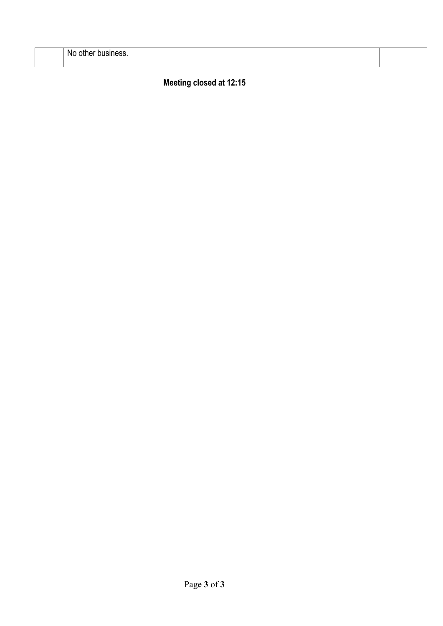| .Nc<br>--<br>---<br>othel<br>יידי טעסווו <del>כ</del> שט. |  |
|-----------------------------------------------------------|--|
|                                                           |  |

**Meeting closed at 12:15**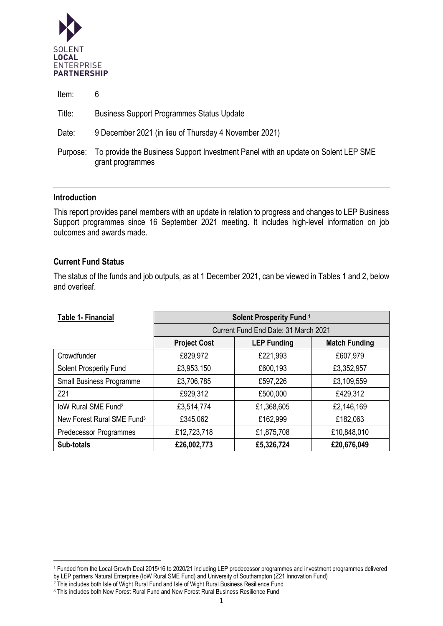

| Item:    | 6                                                                                                     |
|----------|-------------------------------------------------------------------------------------------------------|
| Title:   | <b>Business Support Programmes Status Update</b>                                                      |
| Date:    | 9 December 2021 (in lieu of Thursday 4 November 2021)                                                 |
| Purpose: | To provide the Business Support Investment Panel with an update on Solent LEP SME<br>grant programmes |

#### **Introduction**

This report provides panel members with an update in relation to progress and changes to LEP Business Support programmes since 16 September 2021 meeting. It includes high-level information on job outcomes and awards made.

#### **Current Fund Status**

The status of the funds and job outputs, as at 1 December 2021, can be viewed in Tables 1 and 2, below and overleaf.

| <b>Table 1- Financial</b>              | Solent Prosperity Fund <sup>1</sup>  |                    |                      |
|----------------------------------------|--------------------------------------|--------------------|----------------------|
|                                        | Current Fund End Date: 31 March 2021 |                    |                      |
|                                        | <b>Project Cost</b>                  | <b>LEP Funding</b> | <b>Match Funding</b> |
| Crowdfunder                            | £829,972                             | £221,993           | £607,979             |
| <b>Solent Prosperity Fund</b>          | £3,953,150                           | £600,193           | £3,352,957           |
| Small Business Programme               | £3,706,785                           | £597,226           | £3,109,559           |
| Z <sub>21</sub>                        | £929,312                             | £500,000           | £429,312             |
| loW Rural SME Fund <sup>2</sup>        | £3,514,774                           | £1,368,605         | £2,146,169           |
| New Forest Rural SME Fund <sup>3</sup> | £345,062                             | £162,999           | £182,063             |
| <b>Predecessor Programmes</b>          | £12,723,718                          | £1,875,708         | £10,848,010          |
| Sub-totals                             | £26,002,773                          | £5,326,724         | £20,676,049          |

<sup>1</sup> Funded from the Local Growth Deal 2015/16 to 2020/21 including LEP predecessor programmes and investment programmes delivered by LEP partners Natural Enterprise (IoW Rural SME Fund) and University of Southampton (Z21 Innovation Fund)

<sup>&</sup>lt;sup>2</sup> This includes both Isle of Wight Rural Fund and Isle of Wight Rural Business Resilience Fund

<sup>&</sup>lt;sup>3</sup> This includes both New Forest Rural Fund and New Forest Rural Business Resilience Fund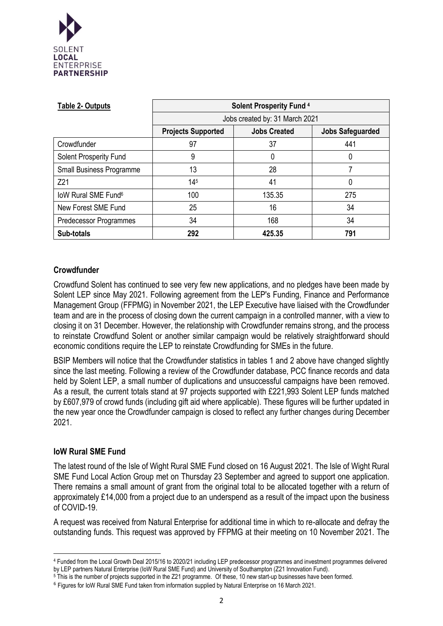

| <b>Table 2- Outputs</b>         | <b>Solent Prosperity Fund 4</b> |                     |                         |
|---------------------------------|---------------------------------|---------------------|-------------------------|
|                                 | Jobs created by: 31 March 2021  |                     |                         |
|                                 | <b>Projects Supported</b>       | <b>Jobs Created</b> | <b>Jobs Safeguarded</b> |
| Crowdfunder                     | 97                              | 37                  | 441                     |
| <b>Solent Prosperity Fund</b>   | 9                               | 0                   | 0                       |
| <b>Small Business Programme</b> | 13                              | 28                  |                         |
| Z21                             | $14^{5}$                        | 41                  | 0                       |
| loW Rural SME Fund <sup>6</sup> | 100                             | 135.35              | 275                     |
| New Forest SME Fund             | 25                              | 16                  | 34                      |
| Predecessor Programmes          | 34                              | 168                 | 34                      |
| Sub-totals                      | 292                             | 425.35              | 791                     |

### **Crowdfunder**

Crowdfund Solent has continued to see very few new applications, and no pledges have been made by Solent LEP since May 2021. Following agreement from the LEP's Funding, Finance and Performance Management Group (FFPMG) in November 2021, the LEP Executive have liaised with the Crowdfunder team and are in the process of closing down the current campaign in a controlled manner, with a view to closing it on 31 December. However, the relationship with Crowdfunder remains strong, and the process to reinstate Crowdfund Solent or another similar campaign would be relatively straightforward should economic conditions require the LEP to reinstate Crowdfunding for SMEs in the future.

BSIP Members will notice that the Crowdfunder statistics in tables 1 and 2 above have changed slightly since the last meeting. Following a review of the Crowdfunder database, PCC finance records and data held by Solent LEP, a small number of duplications and unsuccessful campaigns have been removed. As a result, the current totals stand at 97 projects supported with £221,993 Solent LEP funds matched by £607,979 of crowd funds (including gift aid where applicable). These figures will be further updated in the new year once the Crowdfunder campaign is closed to reflect any further changes during December 2021.

### **IoW Rural SME Fund**

The latest round of the Isle of Wight Rural SME Fund closed on 16 August 2021. The Isle of Wight Rural SME Fund Local Action Group met on Thursday 23 September and agreed to support one application. There remains a small amount of grant from the original total to be allocated together with a return of approximately £14,000 from a project due to an underspend as a result of the impact upon the business of COVID-19.

A request was received from Natural Enterprise for additional time in which to re-allocate and defray the outstanding funds. This request was approved by FFPMG at their meeting on 10 November 2021. The

<sup>4</sup> Funded from the Local Growth Deal 2015/16 to 2020/21 including LEP predecessor programmes and investment programmes delivered by LEP partners Natural Enterprise (IoW Rural SME Fund) and University of Southampton (Z21 Innovation Fund).

<sup>&</sup>lt;sup>5</sup> This is the number of projects supported in the Z21 programme. Of these, 10 new start-up businesses have been formed.

<sup>&</sup>lt;sup>6</sup> Figures for IoW Rural SME Fund taken from information supplied by Natural Enterprise on 16 March 2021.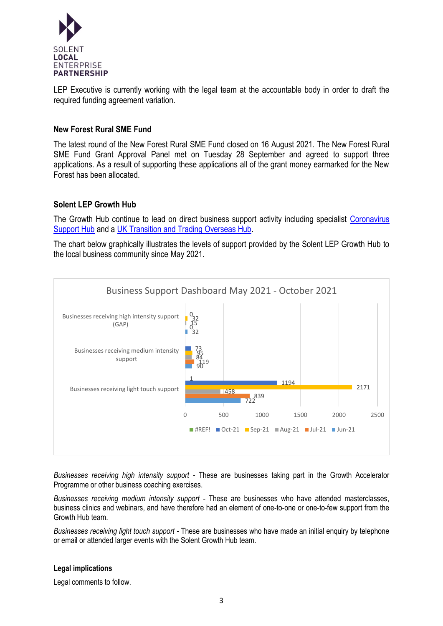

LEP Executive is currently working with the legal team at the accountable body in order to draft the required funding agreement variation.

#### **New Forest Rural SME Fund**

The latest round of the New Forest Rural SME Fund closed on 16 August 2021. The New Forest Rural SME Fund Grant Approval Panel met on Tuesday 28 September and agreed to support three applications. As a result of supporting these applications all of the grant money earmarked for the New Forest has been allocated.

#### **Solent LEP Growth Hub**

The Growth Hub continue to lead on direct business support activity including specialist Coronavirus [Support Hub](https://solentlep.org.uk/coronavirus-support-hub/) and a [UK Transition and Trading Overseas Hub.](https://solentlep.org.uk/uk-transition-and-overseas-trade-hub/)

The chart below graphically illustrates the levels of support provided by the Solent LEP Growth Hub to the local business community since May 2021.



*Businesses receiving high intensity support -* These are businesses taking part in the Growth Accelerator Programme or other business coaching exercises.

*Businesses receiving medium intensity support -* These are businesses who have attended masterclasses, business clinics and webinars, and have therefore had an element of one-to-one or one-to-few support from the Growth Hub team.

*Businesses receiving light touch support -* These are businesses who have made an initial enquiry by telephone or email or attended larger events with the Solent Growth Hub team.

#### **Legal implications**

Legal comments to follow.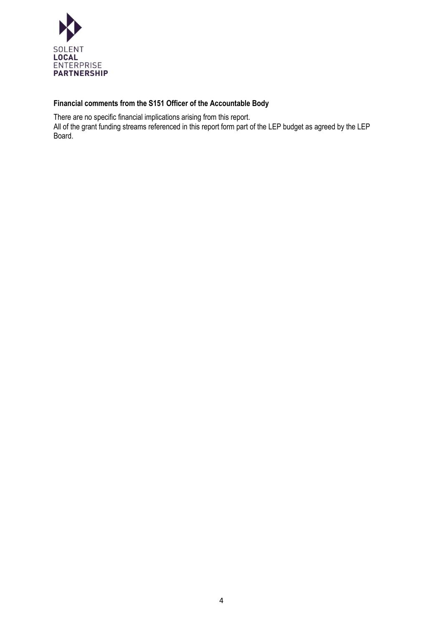

## **Financial comments from the S151 Officer of the Accountable Body**

There are no specific financial implications arising from this report.

All of the grant funding streams referenced in this report form part of the LEP budget as agreed by the LEP Board.